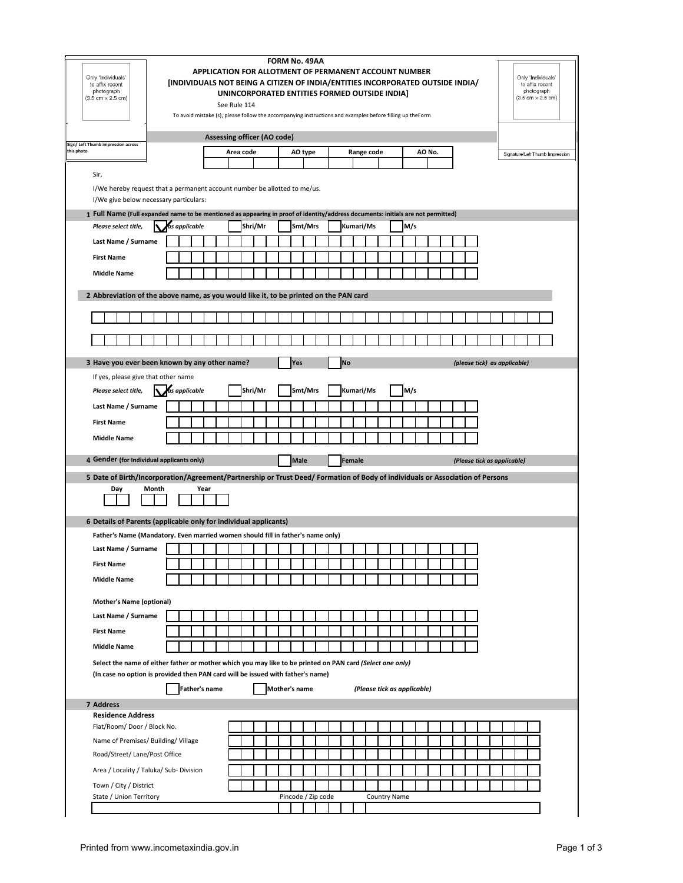| Only 'Individuals'<br>to affix recent<br>photograph<br>$(3.5 \text{ cm} \times 2.5 \text{ cm})$                                                                                              | [INDIVIDUALS NOT BEING A CITIZEN OF INDIA/ENTITIES INCORPORATED OUTSIDE INDIA/<br>To avoid mistake (s), please follow the accompanying instructions and examples before filling up theForm |                      | See Rule 114 | APPLICATION FOR ALLOTMENT OF PERMANENT ACCOUNT NUMBER<br>UNINCORPORATED ENTITIES FORMED OUTSIDE INDIA] | FORM No. 49AA        |             |  |           |                             |                     |     |        |  |                             |  |                              | Only 'Individuals'<br>to affix recent<br>photograph<br>$(3.5 \text{ cm} \times 2.5 \text{ cm})$ |                                 |  |
|----------------------------------------------------------------------------------------------------------------------------------------------------------------------------------------------|--------------------------------------------------------------------------------------------------------------------------------------------------------------------------------------------|----------------------|--------------|--------------------------------------------------------------------------------------------------------|----------------------|-------------|--|-----------|-----------------------------|---------------------|-----|--------|--|-----------------------------|--|------------------------------|-------------------------------------------------------------------------------------------------|---------------------------------|--|
| Sign/ Left Thumb impression across                                                                                                                                                           |                                                                                                                                                                                            |                      |              | Assessing officer (AO code)                                                                            |                      |             |  |           |                             |                     |     |        |  |                             |  |                              |                                                                                                 |                                 |  |
| this photo                                                                                                                                                                                   |                                                                                                                                                                                            |                      |              | Area code                                                                                              |                      | AO type     |  |           | Range code                  |                     |     | AO No. |  |                             |  |                              |                                                                                                 | Signature/Left Thumb Impression |  |
| Sir,                                                                                                                                                                                         |                                                                                                                                                                                            |                      |              |                                                                                                        |                      |             |  |           |                             |                     |     |        |  |                             |  |                              |                                                                                                 |                                 |  |
| I/We hereby request that a permanent account number be allotted to me/us.                                                                                                                    |                                                                                                                                                                                            |                      |              |                                                                                                        |                      |             |  |           |                             |                     |     |        |  |                             |  |                              |                                                                                                 |                                 |  |
| I/We give below necessary particulars:<br>1 Full Name (Full expanded name to be mentioned as appearing in proof of identity/address documents: initials are not permitted)                   |                                                                                                                                                                                            |                      |              |                                                                                                        |                      |             |  |           |                             |                     |     |        |  |                             |  |                              |                                                                                                 |                                 |  |
| Please select title,                                                                                                                                                                         | as applicable                                                                                                                                                                              |                      |              | Shri/Mr                                                                                                |                      | Smt/Mrs     |  |           | Kumari/Ms                   |                     | M/s |        |  |                             |  |                              |                                                                                                 |                                 |  |
| Last Name / Surname                                                                                                                                                                          |                                                                                                                                                                                            |                      |              |                                                                                                        |                      |             |  |           |                             |                     |     |        |  |                             |  |                              |                                                                                                 |                                 |  |
| <b>First Name</b>                                                                                                                                                                            |                                                                                                                                                                                            |                      |              |                                                                                                        |                      |             |  |           |                             |                     |     |        |  |                             |  |                              |                                                                                                 |                                 |  |
| <b>Middle Name</b>                                                                                                                                                                           |                                                                                                                                                                                            |                      |              |                                                                                                        |                      |             |  |           |                             |                     |     |        |  |                             |  |                              |                                                                                                 |                                 |  |
| 2 Abbreviation of the above name, as you would like it, to be printed on the PAN card                                                                                                        |                                                                                                                                                                                            |                      |              |                                                                                                        |                      |             |  |           |                             |                     |     |        |  |                             |  |                              |                                                                                                 |                                 |  |
|                                                                                                                                                                                              |                                                                                                                                                                                            |                      |              |                                                                                                        |                      |             |  |           |                             |                     |     |        |  |                             |  |                              |                                                                                                 |                                 |  |
|                                                                                                                                                                                              |                                                                                                                                                                                            |                      |              |                                                                                                        |                      |             |  |           |                             |                     |     |        |  |                             |  |                              |                                                                                                 |                                 |  |
| 3 Have you ever been known by any other name?                                                                                                                                                |                                                                                                                                                                                            |                      |              |                                                                                                        | Yes                  |             |  | <b>No</b> |                             |                     |     |        |  |                             |  | (please tick) as applicable) |                                                                                                 |                                 |  |
| If yes, please give that other name                                                                                                                                                          |                                                                                                                                                                                            |                      |              |                                                                                                        |                      |             |  |           |                             |                     |     |        |  |                             |  |                              |                                                                                                 |                                 |  |
| Please select title,                                                                                                                                                                         | as applicable                                                                                                                                                                              |                      |              | Shri/Mr                                                                                                |                      | Smt/Mrs     |  |           | Kumari/Ms                   |                     | M/s |        |  |                             |  |                              |                                                                                                 |                                 |  |
| Last Name / Surname                                                                                                                                                                          |                                                                                                                                                                                            |                      |              |                                                                                                        |                      |             |  |           |                             |                     |     |        |  |                             |  |                              |                                                                                                 |                                 |  |
| <b>First Name</b>                                                                                                                                                                            |                                                                                                                                                                                            |                      |              |                                                                                                        |                      |             |  |           |                             |                     |     |        |  |                             |  |                              |                                                                                                 |                                 |  |
| <b>Middle Name</b>                                                                                                                                                                           |                                                                                                                                                                                            |                      |              |                                                                                                        |                      |             |  |           |                             |                     |     |        |  |                             |  |                              |                                                                                                 |                                 |  |
| 4 Gender (for Individual applicants only)                                                                                                                                                    |                                                                                                                                                                                            |                      |              |                                                                                                        |                      | <b>Male</b> |  | Female    |                             |                     |     |        |  | (Please tick as applicable) |  |                              |                                                                                                 |                                 |  |
| 5 Date of Birth/Incorporation/Agreement/Partnership or Trust Deed/ Formation of Body of individuals or Association of Persons<br>Month<br>Day                                                |                                                                                                                                                                                            | Year                 |              |                                                                                                        |                      |             |  |           |                             |                     |     |        |  |                             |  |                              |                                                                                                 |                                 |  |
| 6 Details of Parents (applicable only for individual applicants)                                                                                                                             |                                                                                                                                                                                            |                      |              |                                                                                                        |                      |             |  |           |                             |                     |     |        |  |                             |  |                              |                                                                                                 |                                 |  |
| Father's Name (Mandatory. Even married women should fill in father's name only)                                                                                                              |                                                                                                                                                                                            |                      |              |                                                                                                        |                      |             |  |           |                             |                     |     |        |  |                             |  |                              |                                                                                                 |                                 |  |
| Last Name / Surname                                                                                                                                                                          |                                                                                                                                                                                            |                      |              |                                                                                                        |                      |             |  |           |                             |                     |     |        |  |                             |  |                              |                                                                                                 |                                 |  |
| <b>First Name</b>                                                                                                                                                                            |                                                                                                                                                                                            |                      |              |                                                                                                        |                      |             |  |           |                             |                     |     |        |  |                             |  |                              |                                                                                                 |                                 |  |
| <b>Middle Name</b>                                                                                                                                                                           |                                                                                                                                                                                            |                      |              |                                                                                                        |                      |             |  |           |                             |                     |     |        |  |                             |  |                              |                                                                                                 |                                 |  |
| <b>Mother's Name (optional)</b>                                                                                                                                                              |                                                                                                                                                                                            |                      |              |                                                                                                        |                      |             |  |           |                             |                     |     |        |  |                             |  |                              |                                                                                                 |                                 |  |
| Last Name / Surname                                                                                                                                                                          |                                                                                                                                                                                            |                      |              |                                                                                                        |                      |             |  |           |                             |                     |     |        |  |                             |  |                              |                                                                                                 |                                 |  |
| <b>First Name</b>                                                                                                                                                                            |                                                                                                                                                                                            |                      |              |                                                                                                        |                      |             |  |           |                             |                     |     |        |  |                             |  |                              |                                                                                                 |                                 |  |
| <b>Middle Name</b>                                                                                                                                                                           |                                                                                                                                                                                            |                      |              |                                                                                                        |                      |             |  |           |                             |                     |     |        |  |                             |  |                              |                                                                                                 |                                 |  |
| Select the name of either father or mother which you may like to be printed on PAN card (Select one only)<br>(In case no option is provided then PAN card will be issued with father's name) |                                                                                                                                                                                            | <b>Father's name</b> |              |                                                                                                        | <b>Mother's name</b> |             |  |           | (Please tick as applicable) |                     |     |        |  |                             |  |                              |                                                                                                 |                                 |  |
| 7 Address                                                                                                                                                                                    |                                                                                                                                                                                            |                      |              |                                                                                                        |                      |             |  |           |                             |                     |     |        |  |                             |  |                              |                                                                                                 |                                 |  |
| <b>Residence Address</b><br>Flat/Room/Door/Block No.                                                                                                                                         |                                                                                                                                                                                            |                      |              |                                                                                                        |                      |             |  |           |                             |                     |     |        |  |                             |  |                              |                                                                                                 |                                 |  |
| Name of Premises/ Building/ Village                                                                                                                                                          |                                                                                                                                                                                            |                      |              |                                                                                                        |                      |             |  |           |                             |                     |     |        |  |                             |  |                              |                                                                                                 |                                 |  |
| Road/Street/ Lane/Post Office                                                                                                                                                                |                                                                                                                                                                                            |                      |              |                                                                                                        |                      |             |  |           |                             |                     |     |        |  |                             |  |                              |                                                                                                 |                                 |  |
| Area / Locality / Taluka/ Sub- Division                                                                                                                                                      |                                                                                                                                                                                            |                      |              |                                                                                                        |                      |             |  |           |                             |                     |     |        |  |                             |  |                              |                                                                                                 |                                 |  |
| Town / City / District                                                                                                                                                                       |                                                                                                                                                                                            |                      |              |                                                                                                        |                      |             |  |           |                             |                     |     |        |  |                             |  |                              |                                                                                                 |                                 |  |
| State / Union Territory                                                                                                                                                                      |                                                                                                                                                                                            |                      |              |                                                                                                        | Pincode / Zip code   |             |  |           |                             | <b>Country Name</b> |     |        |  |                             |  |                              |                                                                                                 |                                 |  |
|                                                                                                                                                                                              |                                                                                                                                                                                            |                      |              |                                                                                                        |                      |             |  |           |                             |                     |     |        |  |                             |  |                              |                                                                                                 |                                 |  |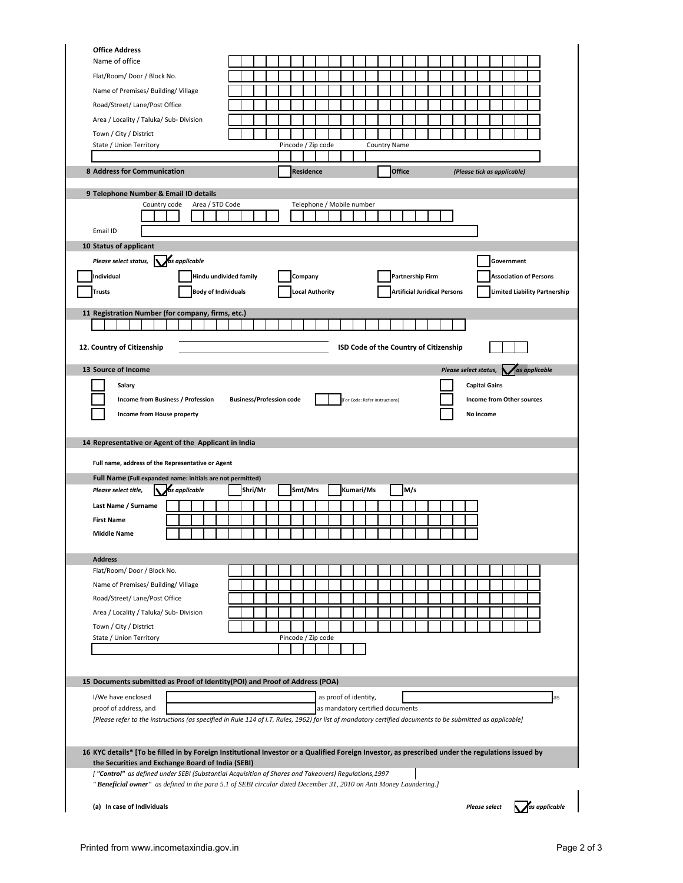| <b>Office Address</b>                                                                                                                                     |                                 |                    |                                                           |                                        |               |                                     |                       |                             |                                  |                                      |
|-----------------------------------------------------------------------------------------------------------------------------------------------------------|---------------------------------|--------------------|-----------------------------------------------------------|----------------------------------------|---------------|-------------------------------------|-----------------------|-----------------------------|----------------------------------|--------------------------------------|
| Name of office                                                                                                                                            |                                 |                    |                                                           |                                        |               |                                     |                       |                             |                                  |                                      |
| Flat/Room/Door/Block No.                                                                                                                                  |                                 |                    |                                                           |                                        |               |                                     |                       |                             |                                  |                                      |
| Name of Premises/ Building/ Village                                                                                                                       |                                 |                    |                                                           |                                        |               |                                     |                       |                             |                                  |                                      |
| Road/Street/ Lane/Post Office                                                                                                                             |                                 |                    |                                                           |                                        |               |                                     |                       |                             |                                  |                                      |
| Area / Locality / Taluka/ Sub- Division                                                                                                                   |                                 |                    |                                                           |                                        |               |                                     |                       |                             |                                  |                                      |
| Town / City / District                                                                                                                                    |                                 |                    |                                                           |                                        |               |                                     |                       |                             |                                  |                                      |
| State / Union Territory                                                                                                                                   |                                 | Pincode / Zip code |                                                           |                                        | Country Name  |                                     |                       |                             |                                  |                                      |
|                                                                                                                                                           |                                 |                    |                                                           |                                        |               |                                     |                       |                             |                                  |                                      |
| 8 Address for Communication                                                                                                                               |                                 | <b>Residence</b>   |                                                           |                                        | <b>Office</b> |                                     |                       | (Please tick as applicable) |                                  |                                      |
| 9 Telephone Number & Email ID details                                                                                                                     |                                 |                    |                                                           |                                        |               |                                     |                       |                             |                                  |                                      |
| Country code<br>Area / STD Code                                                                                                                           |                                 |                    | Telephone / Mobile number                                 |                                        |               |                                     |                       |                             |                                  |                                      |
|                                                                                                                                                           |                                 |                    |                                                           |                                        |               |                                     |                       |                             |                                  |                                      |
| Email ID                                                                                                                                                  |                                 |                    |                                                           |                                        |               |                                     |                       |                             |                                  |                                      |
| 10 Status of applicant                                                                                                                                    |                                 |                    |                                                           |                                        |               |                                     |                       |                             |                                  |                                      |
| as applicable<br>Please select status,                                                                                                                    |                                 |                    |                                                           |                                        |               |                                     |                       |                             | Government                       |                                      |
| Individual                                                                                                                                                | Hindu undivided family          | Company            |                                                           |                                        |               | Partnership Firm                    |                       |                             | <b>Association of Persons</b>    |                                      |
| <b>Trusts</b><br><b>Body of Individuals</b>                                                                                                               |                                 | ocal Authority.    |                                                           |                                        |               | <b>Artificial Juridical Persons</b> |                       |                             |                                  | <b>Limited Liability Partnership</b> |
|                                                                                                                                                           |                                 |                    |                                                           |                                        |               |                                     |                       |                             |                                  |                                      |
| 11 Registration Number (for company, firms, etc.)                                                                                                         |                                 |                    |                                                           |                                        |               |                                     |                       |                             |                                  |                                      |
|                                                                                                                                                           |                                 |                    |                                                           |                                        |               |                                     |                       |                             |                                  |                                      |
| 12. Country of Citizenship                                                                                                                                |                                 |                    |                                                           | ISD Code of the Country of Citizenship |               |                                     |                       |                             |                                  |                                      |
|                                                                                                                                                           |                                 |                    |                                                           |                                        |               |                                     |                       |                             |                                  |                                      |
| 13 Source of Income                                                                                                                                       |                                 |                    |                                                           |                                        |               |                                     | Please select status, |                             |                                  | as applicable                        |
| Salary                                                                                                                                                    |                                 |                    |                                                           |                                        |               |                                     |                       | <b>Capital Gains</b>        |                                  |                                      |
| Income from Business / Profession                                                                                                                         | <b>Business/Profession code</b> |                    |                                                           | For Code: Refer instructions]          |               |                                     |                       |                             | <b>Income from Other sources</b> |                                      |
| Income from House property                                                                                                                                |                                 |                    |                                                           |                                        |               |                                     |                       | No income                   |                                  |                                      |
|                                                                                                                                                           |                                 |                    |                                                           |                                        |               |                                     |                       |                             |                                  |                                      |
| 14 Representative or Agent of the Applicant in India                                                                                                      |                                 |                    |                                                           |                                        |               |                                     |                       |                             |                                  |                                      |
|                                                                                                                                                           |                                 |                    |                                                           |                                        |               |                                     |                       |                             |                                  |                                      |
|                                                                                                                                                           |                                 |                    |                                                           |                                        |               |                                     |                       |                             |                                  |                                      |
| Full name, address of the Representative or Agent                                                                                                         |                                 |                    |                                                           |                                        |               |                                     |                       |                             |                                  |                                      |
| Full Name (Full expanded name: initials are not permitted)                                                                                                |                                 |                    |                                                           |                                        |               |                                     |                       |                             |                                  |                                      |
| as applicable<br>Please select title,                                                                                                                     | Shri/Mr                         | Smt/Mrs            |                                                           | Kumari/Ms                              | M/s           |                                     |                       |                             |                                  |                                      |
| Last Name / Surname                                                                                                                                       |                                 |                    |                                                           |                                        |               |                                     |                       |                             |                                  |                                      |
| <b>First Name</b>                                                                                                                                         |                                 |                    |                                                           |                                        |               |                                     |                       |                             |                                  |                                      |
| <b>Middle Name</b>                                                                                                                                        |                                 |                    |                                                           |                                        |               |                                     |                       |                             |                                  |                                      |
|                                                                                                                                                           |                                 |                    |                                                           |                                        |               |                                     |                       |                             |                                  |                                      |
| <b>Address</b>                                                                                                                                            |                                 |                    |                                                           |                                        |               |                                     |                       |                             |                                  |                                      |
| Flat/Room/Door/Block No.                                                                                                                                  |                                 |                    |                                                           |                                        |               |                                     |                       |                             |                                  |                                      |
| Name of Premises/ Building/ Village                                                                                                                       |                                 |                    |                                                           |                                        |               |                                     |                       |                             |                                  |                                      |
| Road/Street/ Lane/Post Office                                                                                                                             |                                 |                    |                                                           |                                        |               |                                     |                       |                             |                                  |                                      |
| Area / Locality / Taluka/ Sub- Division                                                                                                                   |                                 |                    |                                                           |                                        |               |                                     |                       |                             |                                  |                                      |
| Town / City / District                                                                                                                                    |                                 |                    |                                                           |                                        |               |                                     |                       |                             |                                  |                                      |
| State / Union Territory                                                                                                                                   |                                 | Pincode / Zip code |                                                           |                                        |               |                                     |                       |                             |                                  |                                      |
|                                                                                                                                                           |                                 |                    |                                                           |                                        |               |                                     |                       |                             |                                  |                                      |
|                                                                                                                                                           |                                 |                    |                                                           |                                        |               |                                     |                       |                             |                                  |                                      |
| 15 Documents submitted as Proof of Identity(POI) and Proof of Address (POA)                                                                               |                                 |                    |                                                           |                                        |               |                                     |                       |                             |                                  |                                      |
|                                                                                                                                                           |                                 |                    |                                                           |                                        |               |                                     |                       |                             |                                  |                                      |
| I/We have enclosed<br>proof of address, and                                                                                                               |                                 |                    | as proof of identity,<br>as mandatory certified documents |                                        |               |                                     |                       |                             |                                  | as                                   |
| [Please refer to the instructions (as specified in Rule 114 of I.T. Rules, 1962) for list of mandatory certified documents to be submitted as applicable] |                                 |                    |                                                           |                                        |               |                                     |                       |                             |                                  |                                      |
|                                                                                                                                                           |                                 |                    |                                                           |                                        |               |                                     |                       |                             |                                  |                                      |
|                                                                                                                                                           |                                 |                    |                                                           |                                        |               |                                     |                       |                             |                                  |                                      |
| 16 KYC details* [To be filled in by Foreign Institutional Investor or a Qualified Foreign Investor, as prescribed under the regulations issued by         |                                 |                    |                                                           |                                        |               |                                     |                       |                             |                                  |                                      |
| the Securities and Exchange Board of India (SEBI)<br>["Control" as defined under SEBI (Substantial Acquisition of Shares and Takeovers) Regulations, 1997 |                                 |                    |                                                           |                                        |               |                                     |                       |                             |                                  |                                      |
| "Beneficial owner" as defined in the para 5.1 of SEBI circular dated December 31, 2010 on Anti Money Laundering.]                                         |                                 |                    |                                                           |                                        |               |                                     |                       |                             |                                  |                                      |
| (a) In case of Individuals                                                                                                                                |                                 |                    |                                                           |                                        |               |                                     |                       | Please select               |                                  | as applicable                        |